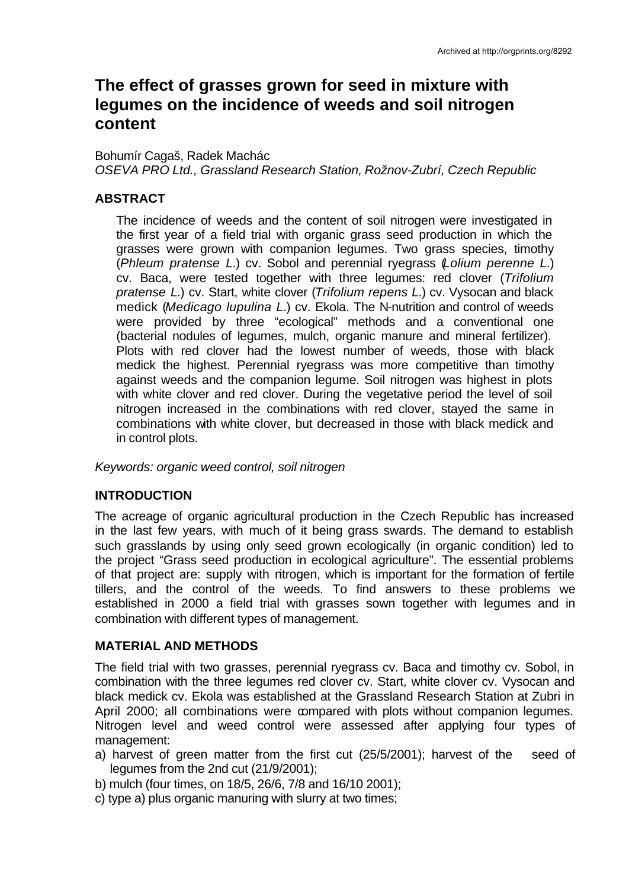# **The effect of grasses grown for seed in mixture with legumes on the incidence of weeds and soil nitrogen content**

Bohumír Cagaš, Radek Machác *OSEVA PRO Ltd., Grassland Research Station, Rožnov-Zubrí, Czech Republic*

## **ABSTRACT**

The incidence of weeds and the content of soil nitrogen were investigated in the first year of a field trial with organic grass seed production in which the grasses were grown with companion legumes. Two grass species, timothy (*Phleum pratense L.*) cv. Sobol and perennial ryegrass (*Lolium perenne L.*) cv. Baca, were tested together with three legumes: red clover (*Trifolium pratense L.*) cv. Start, white clover (*Trifolium repens L.*) cv. Vysocan and black medick (*Medicago lupulina L.*) cv. Ekola. The N-nutrition and control of weeds were provided by three "ecological" methods and a conventional one (bacterial nodules of legumes, mulch, organic manure and mineral fertilizer). Plots with red clover had the lowest number of weeds, those with black medick the highest. Perennial ryegrass was more competitive than timothy against weeds and the companion legume. Soil nitrogen was highest in plots with white clover and red clover. During the vegetative period the level of soil nitrogen increased in the combinations with red clover, stayed the same in combinations with white clover, but decreased in those with black medick and in control plots.

*Keywords: organic weed control, soil nitrogen*

## **INTRODUCTION**

The acreage of organic agricultural production in the Czech Republic has increased in the last few years, with much of it being grass swards. The demand to establish such grasslands by using only seed grown ecologically (in organic condition) led to the project "Grass seed production in ecological agriculture". The essential problems of that project are: supply with nitrogen, which is important for the formation of fertile tillers, and the control of the weeds. To find answers to these problems we established in 2000 a field trial with grasses sown together with legumes and in combination with different types of management.

### **MATERIAL AND METHODS**

The field trial with two grasses, perennial ryegrass cv. Baca and timothy cv. Sobol, in combination with the three legumes red clover cv. Start, white clover cv. Vysocan and black medick cv. Ekola was established at the Grassland Research Station at Zubri in April 2000; all combinations were compared with plots without companion legumes. Nitrogen level and weed control were assessed after applying four types of management:

- a) harvest of green matter from the first cut (25/5/2001); harvest of the seed of legumes from the 2nd cut (21/9/2001);
- b) mulch (four times, on 18/5, 26/6, 7/8 and 16/10 2001);
- c) type a) plus organic manuring with slurry at two times;